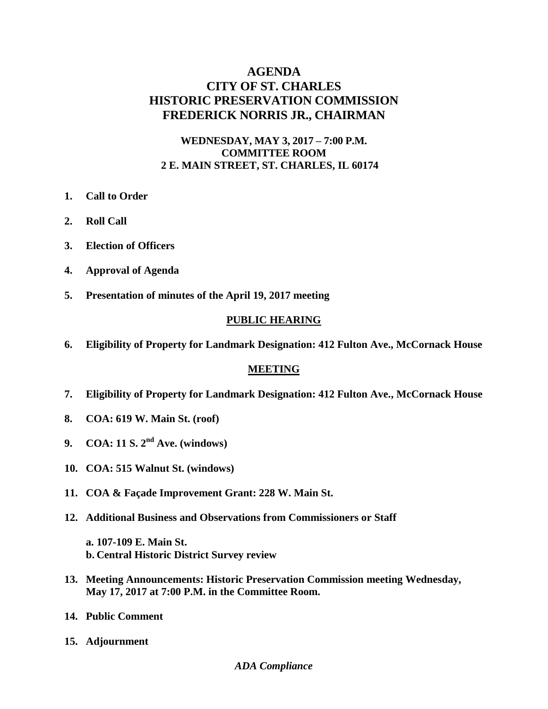# **AGENDA CITY OF ST. CHARLES HISTORIC PRESERVATION COMMISSION FREDERICK NORRIS JR., CHAIRMAN**

## **WEDNESDAY, MAY 3, 2017 – 7:00 P.M. COMMITTEE ROOM 2 E. MAIN STREET, ST. CHARLES, IL 60174**

- **1. Call to Order**
- **2. Roll Call**
- **3. Election of Officers**
- **4. Approval of Agenda**
- **5. Presentation of minutes of the April 19, 2017 meeting**

### **PUBLIC HEARING**

**6. Eligibility of Property for Landmark Designation: 412 Fulton Ave., McCornack House**

### **MEETING**

- **7. Eligibility of Property for Landmark Designation: 412 Fulton Ave., McCornack House**
- **8. COA: 619 W. Main St. (roof)**
- **9. COA: 11 S. 2nd Ave. (windows)**
- **10. COA: 515 Walnut St. (windows)**
- **11. COA & Façade Improvement Grant: 228 W. Main St.**
- **12. Additional Business and Observations from Commissioners or Staff** 
	- **a. 107-109 E. Main St. b. Central Historic District Survey review**
- **13. Meeting Announcements: Historic Preservation Commission meeting Wednesday, May 17, 2017 at 7:00 P.M. in the Committee Room.**
- **14. Public Comment**
- **15. Adjournment**

#### *ADA Compliance*